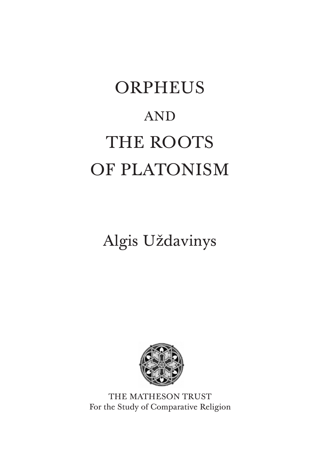# **ORPHEUS** AND THE ROOTS OF PLATONISM

# Algis UŽdavinys



THE MATHESON TRUST For the Study of Comparative Religion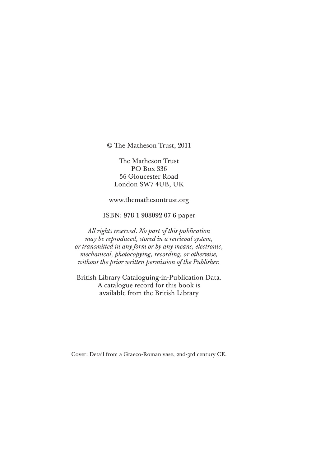© The Matheson Trust, 2011

The Matheson Trust PO Box 336 56 Gloucester Road London SW7 4UB, UK

#### www.themathesontrust.org

#### ISBN: 978 1 908092 07 6 paper

*All rights reserved. No part of this publication may be reproduced, stored in a retrieval system, or transmitted in any form or by any means, electronic, mechanical, photocopying, recording, or otherwise, without the prior written permission of the Publisher.*

British Library Cataloguing-in-Publication Data. A catalogue record for this book is available from the British Library

Cover: Detail from a Graeco-Roman vase, 2nd-3rd century CE.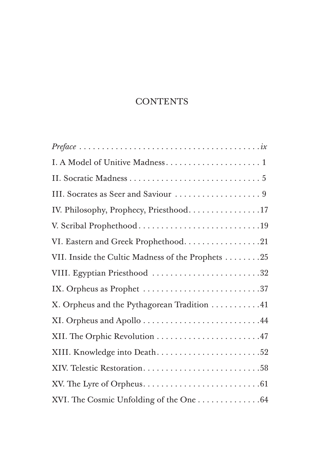### **CONTENTS**

| IV. Philosophy, Prophecy, Priesthood17            |
|---------------------------------------------------|
|                                                   |
| VI. Eastern and Greek Prophethood21               |
| VII. Inside the Cultic Madness of the Prophets 25 |
| VIII. Egyptian Priesthood 32                      |
| IX. Orpheus as Prophet 37                         |
| X. Orpheus and the Pythagorean Tradition 41       |
| XI. Orpheus and Apollo 44                         |
|                                                   |
| XIII. Knowledge into Death52                      |
|                                                   |
|                                                   |
|                                                   |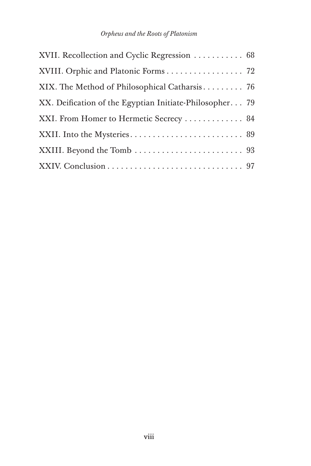#### *Orpheus and the Roots of Platonism*

| XVII. Recollection and Cyclic Regression  68            |  |
|---------------------------------------------------------|--|
| XVIII. Orphic and Platonic Forms 72                     |  |
| XIX. The Method of Philosophical Catharsis 76           |  |
| XX. Deification of the Egyptian Initiate-Philosopher 79 |  |
| XXI. From Homer to Hermetic Secrecy  84                 |  |
|                                                         |  |
|                                                         |  |
|                                                         |  |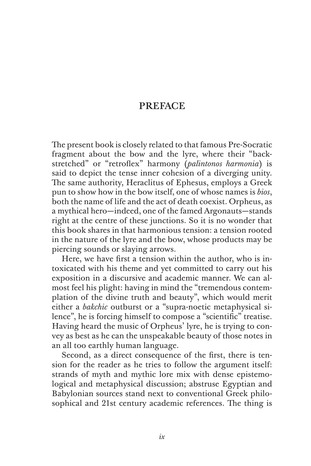#### PREFACE

The present book is closely related to that famous Pre-Socratic fragment about the bow and the lyre, where their "backstretched" or "retroflex" harmony (*palintonos harmonia*) is said to depict the tense inner cohesion of a diverging unity. The same authority, Heraclitus of Ephesus, employs a Greek pun to show how in the bow itself, one of whose names is *bios*, both the name of life and the act of death coexist. Orpheus, as a mythical hero―indeed, one of the famed Argonauts―stands right at the centre of these junctions. So it is no wonder that this book shares in that harmonious tension: a tension rooted in the nature of the lyre and the bow, whose products may be piercing sounds or slaying arrows.

Here, we have first a tension within the author, who is intoxicated with his theme and yet committed to carry out his exposition in a discursive and academic manner. We can almost feel his plight: having in mind the "tremendous contemplation of the divine truth and beauty", which would merit either a *bakchic* outburst or a "supra-noetic metaphysical silence", he is forcing himself to compose a "scientific" treatise. Having heard the music of Orpheus' lyre, he is trying to convey as best as he can the unspeakable beauty of those notes in an all too earthly human language.

Second, as a direct consequence of the first, there is tension for the reader as he tries to follow the argument itself: strands of myth and mythic lore mix with dense epistemological and metaphysical discussion; abstruse Egyptian and Babylonian sources stand next to conventional Greek philosophical and 21st century academic references. The thing is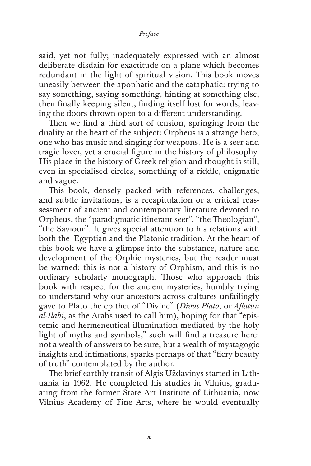#### *Preface*

said, yet not fully; inadequately expressed with an almost deliberate disdain for exactitude on a plane which becomes redundant in the light of spiritual vision. This book moves uneasily between the apophatic and the cataphatic: trying to say something, saying something, hinting at something else, then finally keeping silent, finding itself lost for words, leaving the doors thrown open to a different understanding.

Then we find a third sort of tension, springing from the duality at the heart of the subject: Orpheus is a strange hero, one who has music and singing for weapons. He is a seer and tragic lover, yet a crucial figure in the history of philosophy. His place in the history of Greek religion and thought is still, even in specialised circles, something of a riddle, enigmatic and vague.

This book, densely packed with references, challenges, and subtle invitations, is a recapitulation or a critical reassessment of ancient and contemporary literature devoted to Orpheus, the "paradigmatic itinerant seer", "the Theologian", "the Saviour". It gives special attention to his relations with both the Egyptian and the Platonic tradition. At the heart of this book we have a glimpse into the substance, nature and development of the Orphic mysteries, but the reader must be warned: this is not a history of Orphism, and this is no ordinary scholarly monograph. Those who approach this book with respect for the ancient mysteries, humbly trying to understand why our ancestors across cultures unfailingly gave to Plato the epithet of "Divine" (*Divus Plato*, or *Aflatun al-Ilahi*, as the Arabs used to call him), hoping for that "epistemic and hermeneutical illumination mediated by the holy light of myths and symbols," such will find a treasure here: not a wealth of answers to be sure, but a wealth of mystagogic insights and intimations, sparks perhaps of that "fiery beauty" of truth" contemplated by the author.

The brief earthly transit of Algis Uždavinys started in Lithuania in 1962. He completed his studies in Vilnius, graduating from the former State Art Institute of Lithuania, now Vilnius Academy of Fine Arts, where he would eventually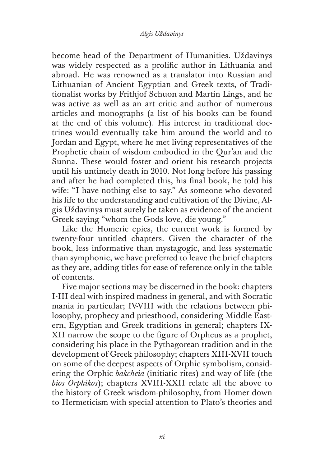become head of the Department of Humanities. Uždavinys was widely respected as a prolific author in Lithuania and abroad. He was renowned as a translator into Russian and Lithuanian of Ancient Egyptian and Greek texts, of Traditionalist works by Frithjof Schuon and Martin Lings, and he was active as well as an art critic and author of numerous articles and monographs (a list of his books can be found at the end of this volume). His interest in traditional doctrines would eventually take him around the world and to Jordan and Egypt, where he met living representatives of the Prophetic chain of wisdom embodied in the Qur'an and the Sunna. These would foster and orient his research projects until his untimely death in 2010. Not long before his passing and after he had completed this, his final book, he told his wife: "I have nothing else to say." As someone who devoted his life to the understanding and cultivation of the Divine, Algis Uždavinys must surely be taken as evidence of the ancient Greek saying "whom the Gods love, die young."

Like the Homeric epics, the current work is formed by twenty-four untitled chapters. Given the character of the book, less informative than mystagogic, and less systematic than symphonic, we have preferred to leave the brief chapters as they are, adding titles for ease of reference only in the table of contents.

Five major sections may be discerned in the book: chapters I-III deal with inspired madness in general, and with Socratic mania in particular; IV-VIII with the relations between philosophy, prophecy and priesthood, considering Middle Eastern, Egyptian and Greek traditions in general; chapters IX-XII narrow the scope to the figure of Orpheus as a prophet, considering his place in the Pythagorean tradition and in the development of Greek philosophy; chapters XIII-XVII touch on some of the deepest aspects of Orphic symbolism, considering the Orphic *bakcheia* (initiatic rites) and way of life (the *bios Orphikos*); chapters XVIII-XXII relate all the above to the history of Greek wisdom-philosophy, from Homer down to Hermeticism with special attention to Plato's theories and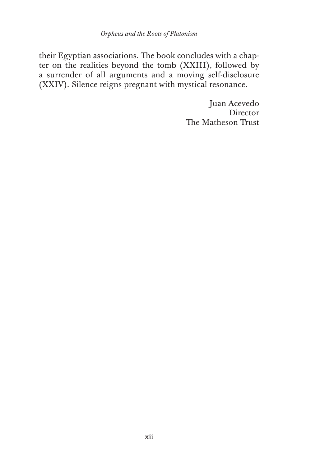their Egyptian associations. The book concludes with a chapter on the realities beyond the tomb (XXIII), followed by a surrender of all arguments and a moving self-disclosure (XXIV). Silence reigns pregnant with mystical resonance.

> Juan Acevedo Director The Matheson Trust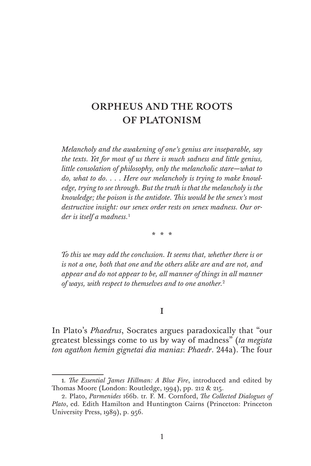## ORPHEUS AND THE ROOTS OF PLATONISM

*Melancholy and the awakening of one's genius are inseparable, say the texts. Yet for most of us there is much sadness and little genius, little consolation of philosophy, only the melancholic stare—what to do, what to do. . . . Here our melancholy is trying to make knowledge, trying to see through. But the truth is that the melancholy is the knowledge; the poison is the antidote. This would be the senex's most destructive insight: our senex order rests on senex madness. Our order is itself a madness.*<sup>1</sup>

\* \* \*

*To this we may add the conclusion. It seems that, whether there is or is not a one, both that one and the others alike are and are not, and appear and do not appear to be, all manner of things in all manner of ways, with respect to themselves and to one another.*<sup>2</sup>

I

In Plato's *Phaedrus*, Socrates argues paradoxically that "our greatest blessings come to us by way of madness" (*ta megista ton agathon hemin gignetai dia manias: Phaedr.* 244a). The four

<sup>1.</sup> The Essential James Hillman: A Blue Fire, introduced and edited by Thomas Moore (London: Routledge, 1994), pp. 212 & 215.

<sup>2.</sup> Plato, Parmenides 166b. tr. F. M. Cornford, *The Collected Dialogues of Plato*, ed. Edith Hamilton and Huntington Cairns (Princeton: Princeton University Press, 1989), p. 956.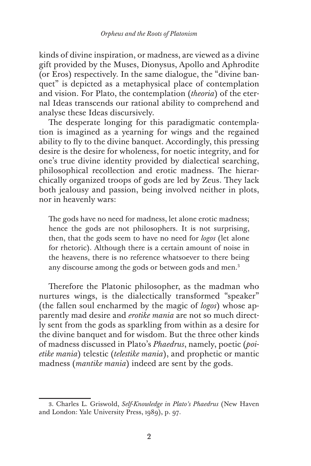kinds of divine inspiration, or madness, are viewed as a divine gift provided by the Muses, Dionysus, Apollo and Aphrodite (or Eros) respectively. In the same dialogue, the "divine banquet" is depicted as a metaphysical place of contemplation and vision. For Plato, the contemplation (*theoria*) of the eternal Ideas transcends our rational ability to comprehend and analyse these Ideas discursively.

The desperate longing for this paradigmatic contemplation is imagined as a yearning for wings and the regained ability to fly to the divine banquet. Accordingly, this pressing desire is the desire for wholeness, for noetic integrity, and for one's true divine identity provided by dialectical searching, philosophical recollection and erotic madness. The hierarchically organized troops of gods are led by Zeus. They lack both jealousy and passion, being involved neither in plots, nor in heavenly wars:

The gods have no need for madness, let alone erotic madness; hence the gods are not philosophers. It is not surprising, then, that the gods seem to have no need for *logos* (let alone for rhetoric). Although there is a certain amount of noise in the heavens, there is no reference whatsoever to there being any discourse among the gods or between gods and men.<sup>3</sup>

Therefore the Platonic philosopher, as the madman who nurtures wings, is the dialectically transformed "speaker" (the fallen soul encharmed by the magic of *logos*) whose apparently mad desire and *erotike mania* are not so much directly sent from the gods as sparkling from within as a desire for the divine banquet and for wisdom. But the three other kinds of madness discussed in Plato's *Phaedrus*, namely, poetic (*poietike mania*) telestic (*telestike mania*), and prophetic or mantic madness (*mantike mania*) indeed are sent by the gods.

<sup>3.</sup> Charles L. Griswold, *Self-Knowledge in Plato's Phaedrus* (New Haven and London: Yale University Press, 1989), p. 97.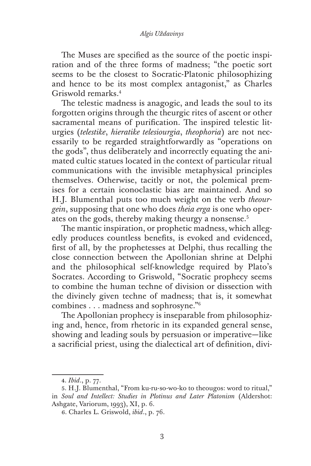#### *Algis UŽdavinys*

The Muses are specified as the source of the poetic inspiration and of the three forms of madness; "the poetic sort seems to be the closest to Socratic-Platonic philosophizing and hence to be its most complex antagonist," as Charles Griswold remarks.4

The telestic madness is anagogic, and leads the soul to its forgotten origins through the theurgic rites of ascent or other sacramental means of purification. The inspired telestic liturgies (*telestike*, *hieratike telesiourgia*, *theophoria*) are not necessarily to be regarded straightforwardly as "operations on the gods", thus deliberately and incorrectly equating the animated cultic statues located in the context of particular ritual communications with the invisible metaphysical principles themselves. Otherwise, tacitly or not, the polemical premises for a certain iconoclastic bias are maintained. And so H.J. Blumenthal puts too much weight on the verb *theourgein*, supposing that one who does *theia erga* is one who operates on the gods, thereby making theurgy a nonsense.<sup>5</sup>

The mantic inspiration, or prophetic madness, which allegedly produces countless benefits, is evoked and evidenced, first of all, by the prophetesses at Delphi, thus recalling the close connection between the Apollonian shrine at Delphi and the philosophical self-knowledge required by Plato's Socrates. According to Griswold, "Socratic prophecy seems to combine the human techne of division or dissection with the divinely given techne of madness; that is, it somewhat combines . . . madness and sophrosyne."6

The Apollonian prophecy is inseparable from philosophizing and, hence, from rhetoric in its expanded general sense, showing and leading souls by persuasion or imperative—like a sacrificial priest, using the dialectical art of definition, divi-

<sup>4.</sup> *Ibid*., p. 77.

<sup>5.</sup> H.J. Blumenthal, "From ku-ru-so-wo-ko to theougos: word to ritual," in *Soul and Intellect: Studies in Plotinus and Later Platonism* (Aldershot: Ashgate, Variorum, 1993), XI, p. 6.

<sup>6.</sup> Charles L. Griswold, *ibid*., p. 76.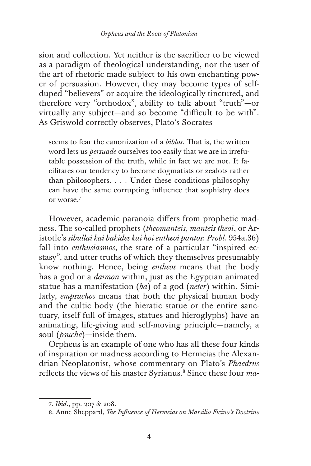sion and collection. Yet neither is the sacrificer to be viewed as a paradigm of theological understanding, nor the user of the art of rhetoric made subject to his own enchanting power of persuasion. However, they may become types of selfduped "believers" or acquire the ideologically tinctured, and therefore very "orthodox", ability to talk about "truth"—or virtually any subject—and so become "difficult to be with". As Griswold correctly observes, Plato's Socrates

seems to fear the canonization of a *biblos*. That is, the written word lets us *persuade* ourselves too easily that we are in irrefutable possession of the truth, while in fact we are not. It facilitates our tendency to become dogmatists or zealots rather than philosophers. . . . Under these conditions philosophy can have the same corrupting influence that sophistry does or worse.7

However, academic paranoia differs from prophetic madness. The so-called prophets (*theomanteis*, *manteis theoi*, or Aristotle's *sibullai kai bakides kai hoi entheoi pantos*: *Probl*. 954a.36) fall into *enthusiasmos*, the state of a particular "inspired ecstasy", and utter truths of which they themselves presumably know nothing. Hence, being *entheos* means that the body has a god or a *daimon* within, just as the Egyptian animated statue has a manifestation (*ba*) of a god (*neter*) within. Similarly, *empsuchos* means that both the physical human body and the cultic body (the hieratic statue or the entire sanctuary, itself full of images, statues and hieroglyphs) have an animating, life-giving and self-moving principle—namely, a soul (*psuche*)—inside them.

Orpheus is an example of one who has all these four kinds of inspiration or madness according to Hermeias the Alexandrian Neoplatonist, whose commentary on Plato's *Phaedrus* reflects the views of his master Syrianus.<sup>8</sup> Since these four *ma*-

<sup>7.</sup> *Ibid*., pp. 207 & 208.

<sup>8.</sup> Anne Sheppard, *The Influence of Hermeias on Marsilio Ficino's Doctrine*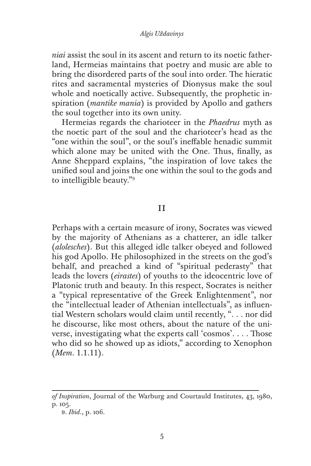*niai* assist the soul in its ascent and return to its noetic fatherland, Hermeias maintains that poetry and music are able to bring the disordered parts of the soul into order. The hieratic rites and sacramental mysteries of Dionysus make the soul whole and noetically active. Subsequently, the prophetic inspiration (*mantike mania*) is provided by Apollo and gathers the soul together into its own unity.

Hermeias regards the charioteer in the *Phaedrus* myth as the noetic part of the soul and the charioteer's head as the "one within the soul", or the soul's ineffable henadic summit which alone may be united with the One. Thus, finally, as Anne Sheppard explains, "the inspiration of love takes the unified soul and joins the one within the soul to the gods and to intelligible beauty."9

#### II

Perhaps with a certain measure of irony, Socrates was viewed by the majority of Athenians as a chatterer, an idle talker (*alolesches*). But this alleged idle talker obeyed and followed his god Apollo. He philosophized in the streets on the god's behalf, and preached a kind of "spiritual pederasty" that leads the lovers (*eirastes*) of youths to the ideocentric love of Platonic truth and beauty. In this respect, Socrates is neither a "typical representative of the Greek Enlightenment", nor the "intellectual leader of Athenian intellectuals", as influential Western scholars would claim until recently, ". . . nor did he discourse, like most others, about the nature of the universe, investigating what the experts call 'cosmos'.... Those who did so he showed up as idiots," according to Xenophon (*Mem*. 1.1.11).

*of Inspiration*, Journal of the Warburg and Courtauld Institutes, 43, 1980, p. 105.

<sup>9.</sup> *Ibid*., p. 106.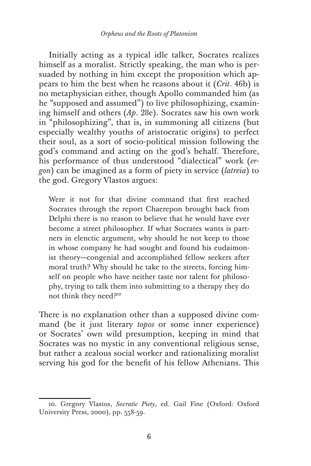Initially acting as a typical idle talker, Socrates realizes himself as a moralist. Strictly speaking, the man who is persuaded by nothing in him except the proposition which appears to him the best when he reasons about it (*Crit*. 46b) is no metaphysician either, though Apollo commanded him (as he "supposed and assumed") to live philosophizing, examining himself and others (*Ap*. 28e). Socrates saw his own work in "philosophizing", that is, in summoning all citizens (but especially wealthy youths of aristocratic origins) to perfect their soul, as a sort of socio-political mission following the god's command and acting on the god's behalf. Therefore, his performance of thus understood "dialectical" work (*ergon*) can be imagined as a form of piety in service (*latreia*) to the god. Gregory Vlastos argues:

Were it not for that divine command that first reached Socrates through the report Chaerepon brought back from Delphi there is no reason to believe that he would have ever become a street philosopher. If what Socrates wants is partners in elenctic argument, why should he not keep to those in whose company he had sought and found his eudaimonist theory—congenial and accomplished fellow seekers after moral truth? Why should he take to the streets, forcing himself on people who have neither taste nor talent for philosophy, trying to talk them into submitting to a therapy they do not think they need?10

There is no explanation other than a supposed divine command (be it just literary *topos* or some inner experience) or Socrates' own wild presumption, keeping in mind that Socrates was no mystic in any conventional religious sense, but rather a zealous social worker and rationalizing moralist serving his god for the benefit of his fellow Athenians. This

<sup>10.</sup> Gregory Vlastos, *Socratic Piety*, ed. Gail Fine (Oxford: Oxford University Press, 2000), pp. 558-59.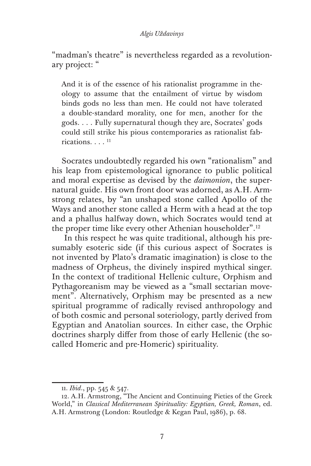#### *Algis UŽdavinys*

"madman's theatre" is nevertheless regarded as a revolutionary project: "

And it is of the essence of his rationalist programme in theology to assume that the entailment of virtue by wisdom binds gods no less than men. He could not have tolerated a double-standard morality, one for men, another for the gods. . . . Fully supernatural though they are, Socrates' gods could still strike his pious contemporaries as rationalist fabrications. . . . <sup>11</sup>

Socrates undoubtedly regarded his own "rationalism" and his leap from epistemological ignorance to public political and moral expertise as devised by the *daimonion*, the supernatural guide. His own front door was adorned, as A.H. Armstrong relates, by "an unshaped stone called Apollo of the Ways and another stone called a Herm with a head at the top and a phallus halfway down, which Socrates would tend at the proper time like every other Athenian householder".12

 In this respect he was quite traditional, although his presumably esoteric side (if this curious aspect of Socrates is not invented by Plato's dramatic imagination) is close to the madness of Orpheus, the divinely inspired mythical singer. In the context of traditional Hellenic culture, Orphism and Pythagoreanism may be viewed as a "small sectarian movement". Alternatively, Orphism may be presented as a new spiritual programme of radically revised anthropology and of both cosmic and personal soteriology, partly derived from Egyptian and Anatolian sources. In either case, the Orphic doctrines sharply differ from those of early Hellenic (the socalled Homeric and pre-Homeric) spirituality.

<sup>11.</sup> *Ibid*., pp. 545 & 547.

<sup>12.</sup> A.H. Armstrong, "The Ancient and Continuing Pieties of the Greek World," in *Classical Mediterranean Spirituality: Egyptian, Greek, Roman*, ed. A.H. Armstrong (London: Routledge & Kegan Paul, 1986), p. 68.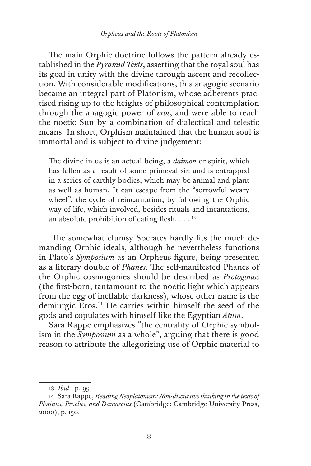The main Orphic doctrine follows the pattern already established in the *Pyramid Texts*, asserting that the royal soul has its goal in unity with the divine through ascent and recollection. With considerable modifications, this anagogic scenario became an integral part of Platonism, whose adherents practised rising up to the heights of philosophical contemplation through the anagogic power of *eros*, and were able to reach the noetic Sun by a combination of dialectical and telestic means. In short, Orphism maintained that the human soul is immortal and is subject to divine judgement:

The divine in us is an actual being, a *daimon* or spirit, which has fallen as a result of some primeval sin and is entrapped in a series of earthly bodies, which may be animal and plant as well as human. It can escape from the "sorrowful weary wheel", the cycle of reincarnation, by following the Orphic way of life, which involved, besides rituals and incantations, an absolute prohibition of eating flesh.  $\dots$   $^{13}$ 

The somewhat clumsy Socrates hardly fits the much demanding Orphic ideals, although he nevertheless functions in Plato's *Symposium* as an Orpheus figure, being presented as a literary double of *Phanes*. The self-manifested Phanes of the Orphic cosmogonies should be described as *Protogonos* (the first-born, tantamount to the noetic light which appears from the egg of ineffable darkness), whose other name is the demiurgic Eros.14 He carries within himself the seed of the gods and copulates with himself like the Egyptian *Atum*.

Sara Rappe emphasizes "the centrality of Orphic symbolism in the *Symposium* as a whole", arguing that there is good reason to attribute the allegorizing use of Orphic material to

<sup>13.</sup> *Ibid*., p. 99.

<sup>14.</sup> Sara Rappe, *Reading Neoplatonism: Non-discursive thinking in the texts of Plotinus, Proclus, and Damascius* (Cambridge: Cambridge University Press, 2000), p. 150.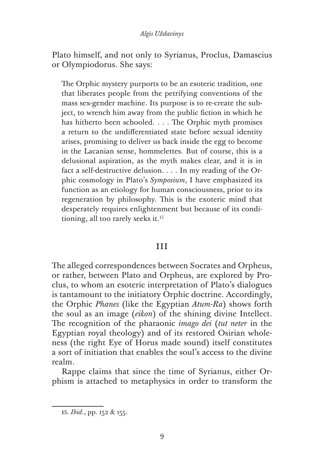Plato himself, and not only to Syrianus, Proclus, Damascius or Olympiodorus. She says:

The Orphic mystery purports to be an esoteric tradition, one that liberates people from the petrifying conventions of the mass sex-gender machine. Its purpose is to re-create the subject, to wrench him away from the public fiction in which he has hitherto been schooled.  $\dots$  The Orphic myth promises a return to the undifferentiated state before sexual identity arises, promising to deliver us back inside the egg to become in the Lacanian sense, hommelettes. But of course, this is a delusional aspiration, as the myth makes clear, and it is in fact a self-destructive delusion. . . . In my reading of the Orphic cosmology in Plato's *Symposium*, I have emphasized its function as an etiology for human consciousness, prior to its regeneration by philosophy. This is the exoteric mind that desperately requires enlightenment but because of its conditioning, all too rarely seeks it.15

#### III

The alleged correspondences between Socrates and Orpheus, or rather, between Plato and Orpheus, are explored by Proclus, to whom an esoteric interpretation of Plato's dialogues is tantamount to the initiatory Orphic doctrine. Accordingly, the Orphic *Phanes* (like the Egyptian *Atum-Ra*) shows forth the soul as an image (*eikon*) of the shining divine Intellect. The recognition of the pharaonic *imago dei* (*tut neter* in the Egyptian royal theology) and of its restored Osirian wholeness (the right Eye of Horus made sound) itself constitutes a sort of initiation that enables the soul's access to the divine realm.

Rappe claims that since the time of Syrianus, either Orphism is attached to metaphysics in order to transform the

<sup>15.</sup> *Ibid*., pp. 152 & 155.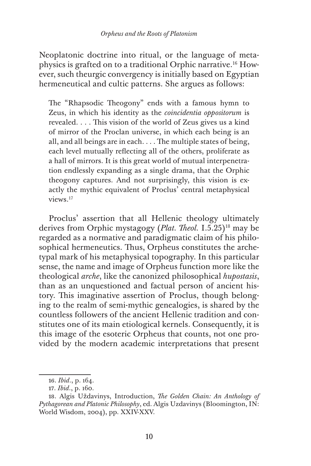Neoplatonic doctrine into ritual, or the language of metaphysics is grafted on to a traditional Orphic narrative.16 However, such theurgic convergency is initially based on Egyptian hermeneutical and cultic patterns. She argues as follows:

The "Rhapsodic Theogony" ends with a famous hymn to Zeus, in which his identity as the *coincidentia oppositorum* is revealed.  $\ldots$  This vision of the world of Zeus gives us a kind of mirror of the Proclan universe, in which each being is an all, and all beings are in each.  $\dots$  The multiple states of being, each level mutually reflecting all of the others, proliferate as a hall of mirrors. It is this great world of mutual interpenetration endlessly expanding as a single drama, that the Orphic theogony captures. And not surprisingly, this vision is exactly the mythic equivalent of Proclus' central metaphysical views.17

Proclus' assertion that all Hellenic theology ultimately derives from Orphic mystagogy (*Plat. Theol.* I.5.25)<sup>18</sup> may be regarded as a normative and paradigmatic claim of his philosophical hermeneutics. Thus, Orpheus constitutes the archetypal mark of his metaphysical topography. In this particular sense, the name and image of Orpheus function more like the theological *arche*, like the canonized philosophical *hupostasis*, than as an unquestioned and factual person of ancient history. This imaginative assertion of Proclus, though belonging to the realm of semi-mythic genealogies, is shared by the countless followers of the ancient Hellenic tradition and constitutes one of its main etiological kernels. Consequently, it is this image of the esoteric Orpheus that counts, not one provided by the modern academic interpretations that present

<sup>16.</sup> *Ibid*., p. 164.

<sup>17.</sup> *Ibid*., p. 160.

<sup>18.</sup> Algis Uždavinys, Introduction, *The Golden Chain: An Anthology of Pythagorean and Platonic Philosophy*, ed. Algis Uzdavinys (Bloomington, IN: World Wisdom, 2004), pp. XXIV-XXV.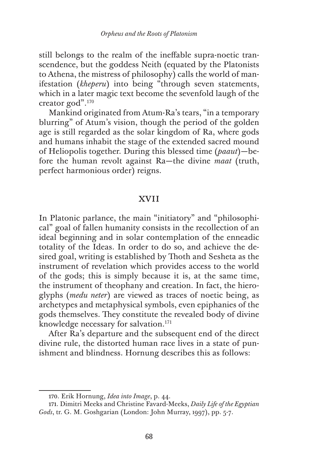still belongs to the realm of the ineffable supra-noetic transcendence, but the goddess Neith (equated by the Platonists to Athena, the mistress of philosophy) calls the world of manifestation (*kheperu*) into being "through seven statements, which in a later magic text become the sevenfold laugh of the creator god".170

Mankind originated from Atum-Ra's tears, "in a temporary blurring" of Atum's vision, though the period of the golden age is still regarded as the solar kingdom of Ra, where gods and humans inhabit the stage of the extended sacred mound of Heliopolis together. During this blessed time (*paaut*)—before the human revolt against Ra—the divine *maat* (truth, perfect harmonious order) reigns.

#### XVII

In Platonic parlance, the main "initiatory" and "philosophical" goal of fallen humanity consists in the recollection of an ideal beginning and in solar contemplation of the enneadic totality of the Ideas. In order to do so, and achieve the desired goal, writing is established by Thoth and Sesheta as the instrument of revelation which provides access to the world of the gods; this is simply because it is, at the same time, the instrument of theophany and creation. In fact, the hieroglyphs (*medu neter*) are viewed as traces of noetic being, as archetypes and metaphysical symbols, even epiphanies of the gods themselves. They constitute the revealed body of divine knowledge necessary for salvation.<sup>171</sup>

After Ra's departure and the subsequent end of the direct divine rule, the distorted human race lives in a state of punishment and blindness. Hornung describes this as follows:

<sup>170.</sup> Erik Hornung, *Idea into Image*, p. 44.

<sup>171.</sup> Dimitri Meeks and Christine Favard-Meeks, *Daily Life of the Egyptian Gods*, tr. G. M. Goshgarian (London: John Murray, 1997), pp. 5-7.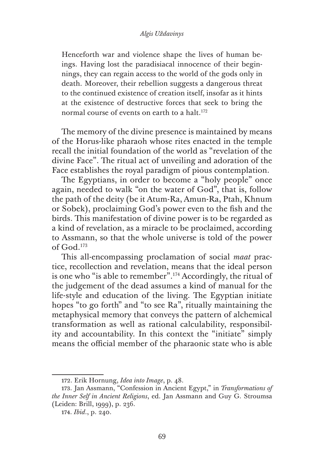#### *Algis UŽdavinys*

Henceforth war and violence shape the lives of human beings. Having lost the paradisiacal innocence of their beginnings, they can regain access to the world of the gods only in death. Moreover, their rebellion suggests a dangerous threat to the continued existence of creation itself, insofar as it hints at the existence of destructive forces that seek to bring the normal course of events on earth to a halt.<sup>172</sup>

The memory of the divine presence is maintained by means of the Horus-like pharaoh whose rites enacted in the temple recall the initial foundation of the world as "revelation of the divine Face". The ritual act of unveiling and adoration of the Face establishes the royal paradigm of pious contemplation.

The Egyptians, in order to become a "holy people" once again, needed to walk "on the water of God", that is, follow the path of the deity (be it Atum-Ra, Amun-Ra, Ptah, Khnum or Sobek), proclaiming God's power even to the fish and the birds. This manifestation of divine power is to be regarded as a kind of revelation, as a miracle to be proclaimed, according to Assmann, so that the whole universe is told of the power of God.173

This all-encompassing proclamation of social *maat* practice, recollection and revelation, means that the ideal person is one who "is able to remember".174 Accordingly, the ritual of the judgement of the dead assumes a kind of manual for the life-style and education of the living. The Egyptian initiate hopes "to go forth" and "to see Ra", ritually maintaining the metaphysical memory that conveys the pattern of alchemical transformation as well as rational calculability, responsibility and accountability. In this context the "initiate" simply means the official member of the pharaonic state who is able

<sup>172.</sup> Erik Hornung, *Idea into Image*, p. 48.

<sup>173.</sup> Jan Assmann, "Confession in Ancient Egypt," in *Transformations of the Inner Self in Ancient Religions*, ed. Jan Assmann and Guy G. Stroumsa (Leiden: Brill, 1999), p. 236.

<sup>174.</sup> *Ibid*., p. 240.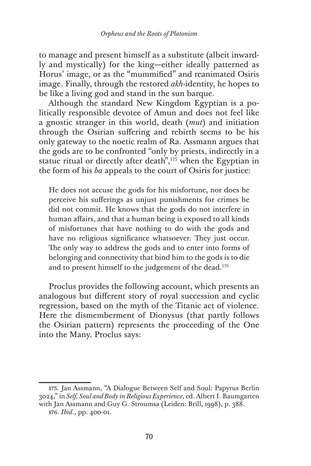to manage and present himself as a substitute (albeit inwardly and mystically) for the king—either ideally patterned as Horus' image, or as the "mummified" and reanimated Osiris image. Finally, through the restored *akh*-identity, he hopes to be like a living god and stand in the sun barque.

Although the standard New Kingdom Egyptian is a politically responsible devotee of Amun and does not feel like a gnostic stranger in this world, death (*mut*) and initiation through the Osirian suffering and rebirth seems to be his only gateway to the noetic realm of Ra. Assmann argues that the gods are to be confronted "only by priests, indirectly in a statue ritual or directly after death",<sup>175</sup> when the Egyptian in the form of his *ba* appeals to the court of Osiris for justice:

He does not accuse the gods for his misfortune, nor does he perceive his sufferings as unjust punishments for crimes he did not commit. He knows that the gods do not interfere in human affairs, and that a human being is exposed to all kinds of misfortunes that have nothing to do with the gods and have no religious significance whatsoever. They just occur. The only way to address the gods and to enter into forms of belonging and connectivity that bind him to the gods is to die and to present himself to the judgement of the dead.<sup>176</sup>

Proclus provides the following account, which presents an analogous but different story of royal succession and cyclic regression, based on the myth of the Titanic act of violence. Here the dismemberment of Dionysus (that partly follows the Osirian pattern) represents the proceeding of the One into the Many. Proclus says:

<sup>175.</sup> Jan Assmann, "A Dialogue Between Self and Soul: Papyrus Berlin 3024," in *Self, Soul and Body in Religious Experience*, ed. Albert I. Baumgarten with Jan Assmann and Guy G. Stroumsa (Leiden: Brill, 1998), p. 388.

<sup>176.</sup> *Ibid*., pp. 400-01.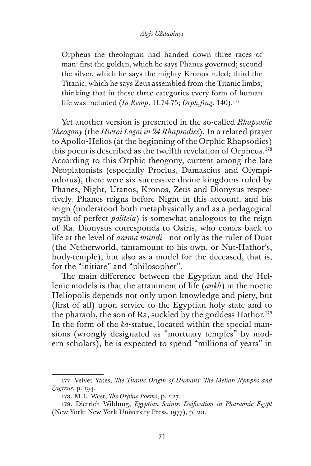#### *Algis UŽdavinys*

Orpheus the theologian had handed down three races of man: first the golden, which he says Phanes governed; second the silver, which he says the mighty Kronos ruled; third the Titanic, which he says Zeus assembled from the Titanic limbs; thinking that in these three categories every form of human life was included (*In Remp*. II.74-75; *Orph.frag*. 140).177

Yet another version is presented in the so-called *Rhapsodic \$eogony* (the *Hieroi Logoi in 24 Rhapsodies*). In a related prayer to Apollo-Helios (at the beginning of the Orphic Rhapsodies) this poem is described as the twelfth revelation of Orpheus.<sup>178</sup> According to this Orphic theogony, current among the late Neoplatonists (especially Proclus, Damascius and Olympiodorus), there were six successive divine kingdoms ruled by Phanes, Night, Uranos, Kronos, Zeus and Dionysus respectively. Phanes reigns before Night in this account, and his reign (understood both metaphysically and as a pedagogical myth of perfect *politeia*) is somewhat analogous to the reign of Ra. Dionysus corresponds to Osiris, who comes back to life at the level of *anima mundi*—not only as the ruler of Duat (the Netherworld, tantamount to his own, or Nut-Hathor's, body-temple), but also as a model for the deceased, that is, for the "initiate" and "philosopher".

The main difference between the Egyptian and the Hellenic models is that the attainment of life (*ankh*) in the noetic Heliopolis depends not only upon knowledge and piety, but (first of all) upon service to the Egyptian holy state and to the pharaoh, the son of Ra, suckled by the goddess Hathor.<sup>179</sup> In the form of the *ka*-statue, located within the special mansions (wrongly designated as "mortuary temples" by modern scholars), he is expected to spend "millions of years" in

<sup>177.</sup> Velvet Yates, *The Titanic Origin of Humans: The Melian Nymphs and Zagreus*, p. 194.

<sup>178.</sup> M.L. West, *\$e Orphic Poems*, p. 227.

<sup>179.</sup> Dietrich Wildung, *Egyptian Saints: Deification in Pharaonic Egypt* (New York: New York University Press, 1977), p. 20.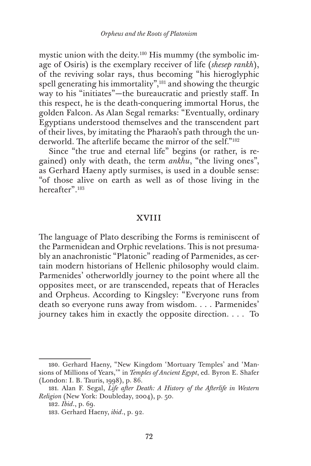mystic union with the deity.180 His mummy (the symbolic image of Osiris) is the exemplary receiver of life (*shesep rankh*), of the reviving solar rays, thus becoming "his hieroglyphic spell generating his immortality", $^{181}$  and showing the theurgic way to his "initiates"—the bureaucratic and priestly staff. In this respect, he is the death-conquering immortal Horus, the golden Falcon. As Alan Segal remarks: "Eventually, ordinary Egyptians understood themselves and the transcendent part of their lives, by imitating the Pharaoh's path through the underworld. The afterlife became the mirror of the self."182

Since "the true and eternal life" begins (or rather, is regained) only with death, the term *ankhu*, "the living ones", as Gerhard Haeny aptly surmises, is used in a double sense: "of those alive on earth as well as of those living in the hereafter".183

#### XVIII

The language of Plato describing the Forms is reminiscent of the Parmenidean and Orphic revelations. This is not presumably an anachronistic "Platonic" reading of Parmenides, as certain modern historians of Hellenic philosophy would claim. Parmenides' otherworldly journey to the point where all the opposites meet, or are transcended, repeats that of Heracles and Orpheus. According to Kingsley: "Everyone runs from death so everyone runs away from wisdom. . . . Parmenides' journey takes him in exactly the opposite direction. . . . To

<sup>180.</sup> Gerhard Haeny, "New Kingdom 'Mortuary Temples' and 'Mansions of Millions of Years,'" in *Temples of Ancient Egypt*, ed. Byron E. Shafer (London: I. B. Tauris, 1998), p. 86.

<sup>181.</sup> Alan F. Segal, *Life after Death: A History of the Afterlife in Western Religion* (New York: Doubleday, 2004), p. 50.

<sup>182.</sup> *Ibid*., p. 69.

<sup>183.</sup> Gerhard Haeny, *ibid*., p. 92.